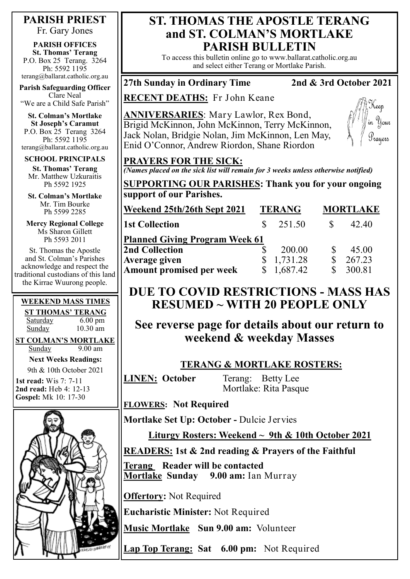#### **PARISH PRIEST**

Fr. Gary Jones

**PARISH OFFICES St. Thomas' Terang** P.O. Box 25 Terang. 3264 Ph: 5592 1195 terang@ballarat.catholic.org.au

**Parish Safeguarding Officer** Clare Neal "We are a Child Safe Parish"

**St. Colman's Mortlake St Joseph's Caramut** P.O. Box 25 Terang 3264 Ph: 5592 1195 terang@ballarat.catholic.org.au

**SCHOOL PRINCIPALS St. Thomas' Terang** Mr. Matthew Uzkuraitis Ph 5592 1925

**St. Colman's Mortlake** Mr. Tim Bourke Ph 5599 2285

**Mercy Regional College** Ms Sharon Gillett Ph 5593 2011

St. Thomas the Apostle and St. Colman's Parishes acknowledge and respect the traditional custodians of this land the Kirrae Wuurong people.

#### **WEEKEND MASS TIMES**

**ST THOMAS' TERANG** Saturday 6.00 pm Sunday 10.30 am

**ST COLMAN'S MORTLAKE**

Sunday 9.00 am

**Next Weeks Readings:** 9th & 10th October 2021

**1st read:** Wis 7: 7-11 **2nd read:** Heb 4: 12-13 **Gospel:** Mk 10: 17-30



## **ST. THOMAS THE APOSTLE TERANG and ST. COLMAN'S MORTLAKE PARISH BULLETIN**

To access this bulletin online go to www.ballarat.catholic.org.au and select either Terang or Mortlake Parish.

## **27th Sunday in Ordinary Time 2nd & 3rd October 2021**

**RECENT DEATHS:** Fr John Keane

**ANNIVERSARIES**: Mary Lawlor, Rex Bond, Brigid McKinnon, John McKinnon, Terry McKinnon, Jack Nolan, Bridgie Nolan, Jim McKinnon, Len May, Enid O'Connor, Andrew Riordon, Shane Riordon



#### **PRAYERS FOR THE SICK:**

*(Names placed on the sick list will remain for 3 weeks unless otherwise notified)*

**SUPPORTING OUR PARISHES: Thank you for your ongoing support of our Parishes.** 

| Weekend 25th/26th Sept 2021           | <b>TERANG</b> |            | <b>MORTLAKE</b> |        |
|---------------------------------------|---------------|------------|-----------------|--------|
| <b>1st Collection</b>                 |               | 251.50     |                 | 42.40  |
| <b>Planned Giving Program Week 61</b> |               |            |                 |        |
| <b>2nd Collection</b>                 |               | 200.00     |                 | 45.00  |
| <b>Average given</b>                  |               | 1,731.28   |                 | 267.23 |
| <b>Amount promised per week</b>       |               | \$1,687.42 |                 | 300.81 |

# **DUE TO COVID RESTRICTIONS - MASS HAS RESUMED ~ WITH 20 PEOPLE ONLY**

**See reverse page for details about our return to weekend & weekday Masses** 

### **TERANG & MORTLAKE ROSTERS:**

**LINEN: October** Terang: Betty Lee Mortlake: Rita Pasque

**FLOWERS: Not Required**

**Mortlake Set Up: October -** Dulcie Jervies

**Liturgy Rosters: Weekend ~ 9th & 10th October 2021**

**READERS: 1st & 2nd reading & Prayers of the Faithful**

**Terang Reader will be contacted Mortlake Sunday 9.00 am:** Ian Murray

**Offertory:** Not Required

**Eucharistic Minister:** Not Required

**Music Mortlake Sun 9.00 am:** Volunteer

**Lap Top Terang: Sat 6.00 pm:** Not Required